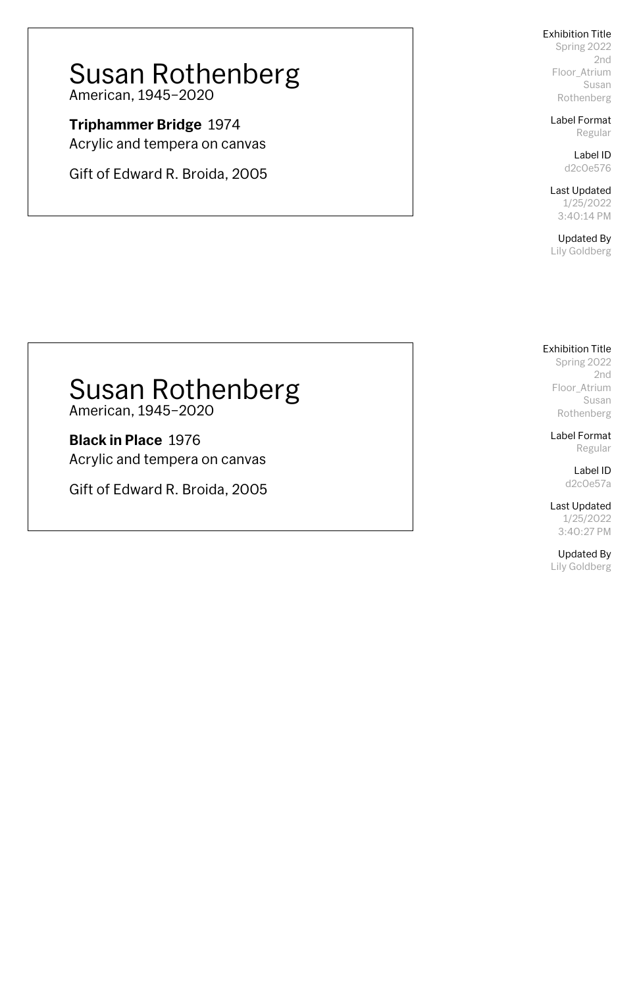Spring 2022 2nd Floor\_Atrium Susan Rothenberg

Label Format Regular

> Label ID d2c0e576

Last Updated 1/25/2022 3:40:14 PM

Updated By Lily Goldberg

## Susan Rothenberg American, 1945–2020

**Triphammer Bridge** 1974 Acrylic and tempera on canvas

Gift of Edward R. Broida, 2005

### Exhibition Title

Spring 2022 2nd Floor\_Atrium Susan Rothenberg

Label Format Regular

> Label ID d2c0e57a

Last Updated

1/25/2022 3:40:27 PM

Updated By Lily Goldberg

## Susan Rothenberg

American, 1945–2020

**Black in Place** 1976 Acrylic and tempera on canvas

Gift of Edward R. Broida, 2005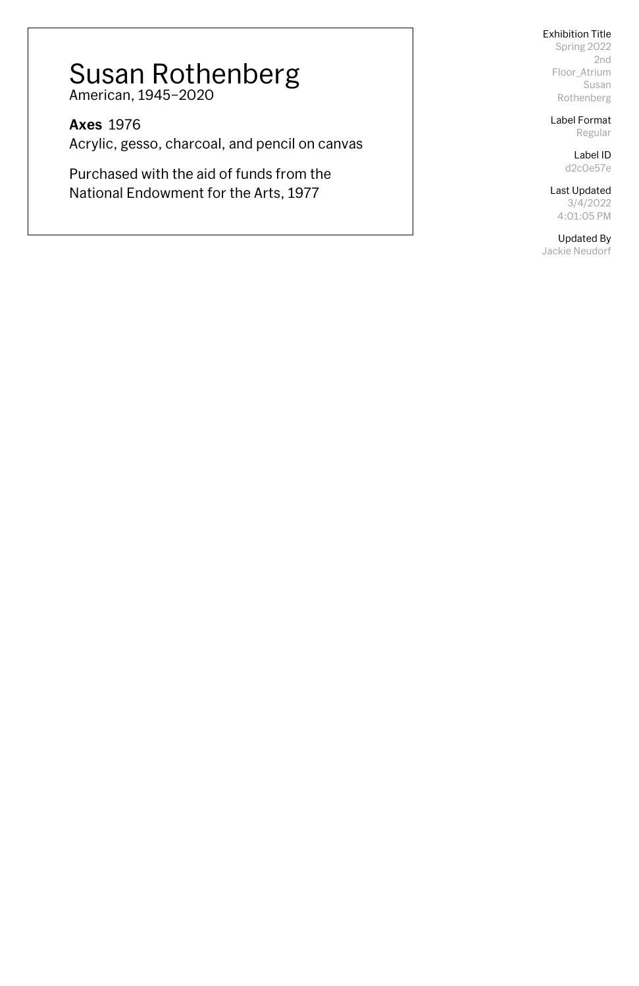Spring 2022 2nd Floor\_Atrium Susan Rothenberg

Label Format Regular

> Label ID d2c0e57e

Last Updated

3/4/2022 4:01:05 PM

Updated By

Jackie Neudorf

## Susan Rothenberg American, 1945–2020

**Axes** 1976 Acrylic, gesso, charcoal, and pencil on canvas

Purchased with the aid of funds from the National Endowment for the Arts, 1977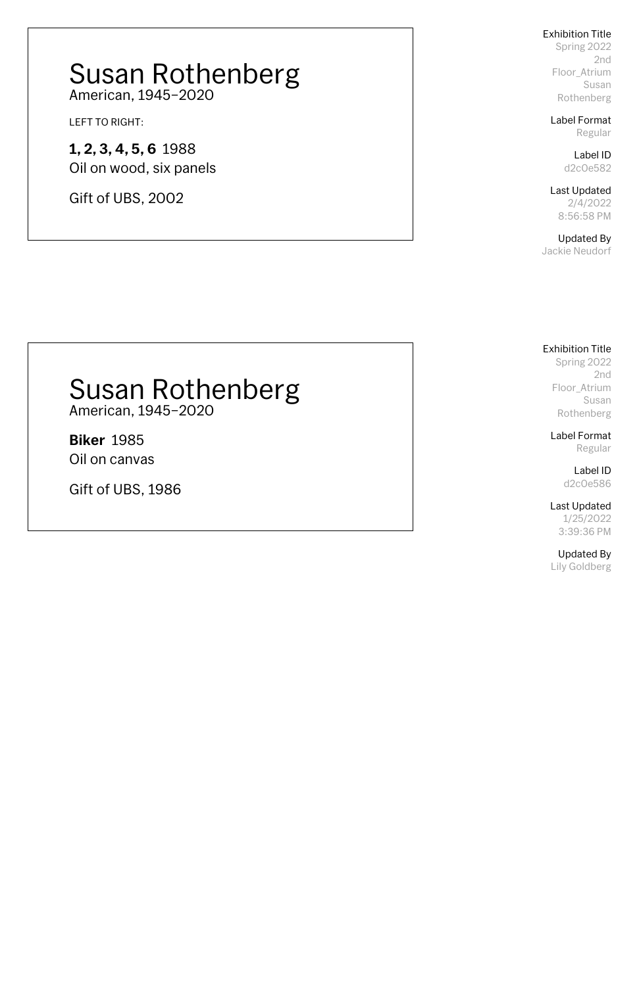Spring 2022 2nd Floor\_Atrium Susan Rothenberg

Label Format Regular

> Label ID d2c0e582

Last Updated 2/4/2022 8:56:58 PM

Updated By Jackie Neudorf

## Susan Rothenberg American, 1945–2020

LEFT TO RIGHT:

**1, 2, 3, 4, 5, 6** 1988 Oil on wood, six panels

Gift of UBS, 2002

## Exhibition Title

Spring 2022 2nd Floor\_Atrium Susan Rothenberg

Label Format Regular

> Label ID d2c0e586

Last Updated

1/25/2022 3:39:36 PM

Updated By Lily Goldberg

## Susan Rothenberg

American, 1945–2020

**Biker** 1985 Oil on canvas

Gift of UBS, 1986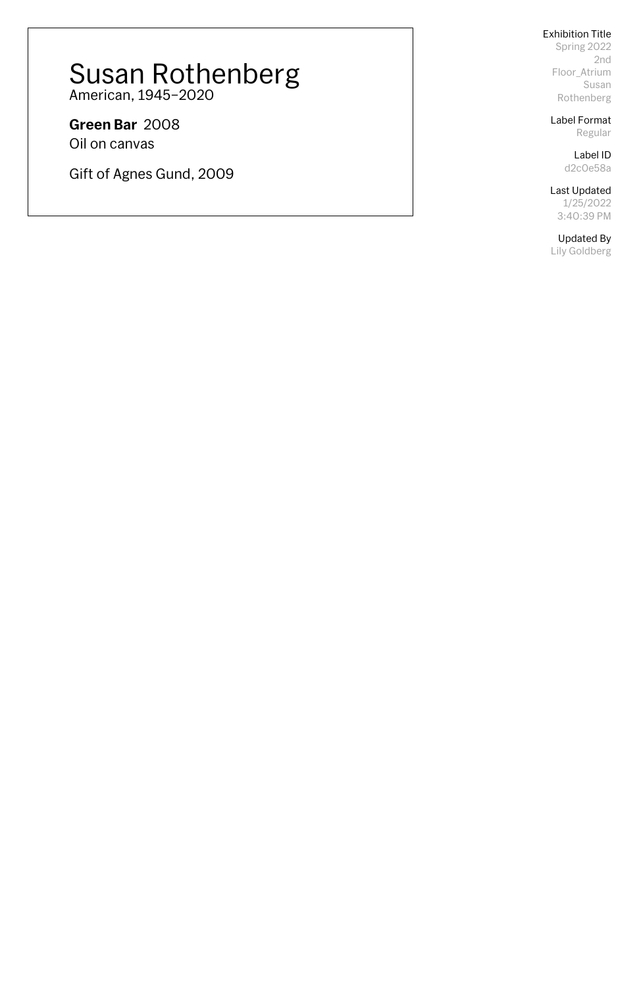Spring 2022 2nd Floor\_Atrium Susan Rothenberg

Label Format Regular

> Label ID d2c0e58a

Last Updated

1/25/2022 3:40:39 PM

Updated By

Lily Goldberg

# Susan Rothenberg

American, 1945–2020

**Green Bar** 2008 Oil on canvas

Gift of Agnes Gund, 2009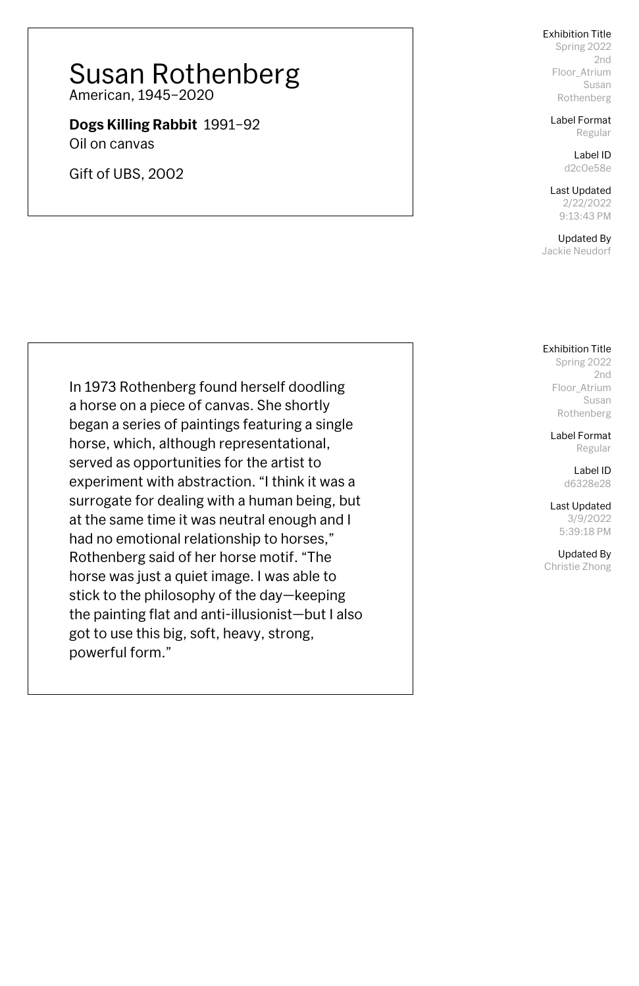Spring 2022 2nd Floor\_Atrium Susan Rothenberg

Label Format Regular

> Label ID d2c0e58e

Last Updated 2/22/2022 9:13:43 PM

Updated By Jackie Neudorf

## Susan Rothenberg American, 1945–2020

**Dogs Killing Rabbit** 1991–92

Oil on canvas

Gift of UBS, 2002

Exhibition Title

Spring 2022 2nd Floor\_Atrium Susan Rothenberg

Label Format Regular

> Label ID d6328e28

Last Updated 3/9/2022 5:39:18 PM

Updated By Christie Zhong

In 1973 Rothenberg found herself doodling a horse on a piece of canvas. She shortly began a series of paintings featuring a single horse, which, although representational, served as opportunities for the artist to experiment with abstraction. "I think it was a surrogate for dealing with a human being, but at the same time it was neutral enough and I had no emotional relationship to horses," Rothenberg said of her horse motif. "The horse was just a quiet image. I was able to stick to the philosophy of the day—keeping the painting flat and anti-illusionist—but I also got to use this big, soft, heavy, strong, powerful form."